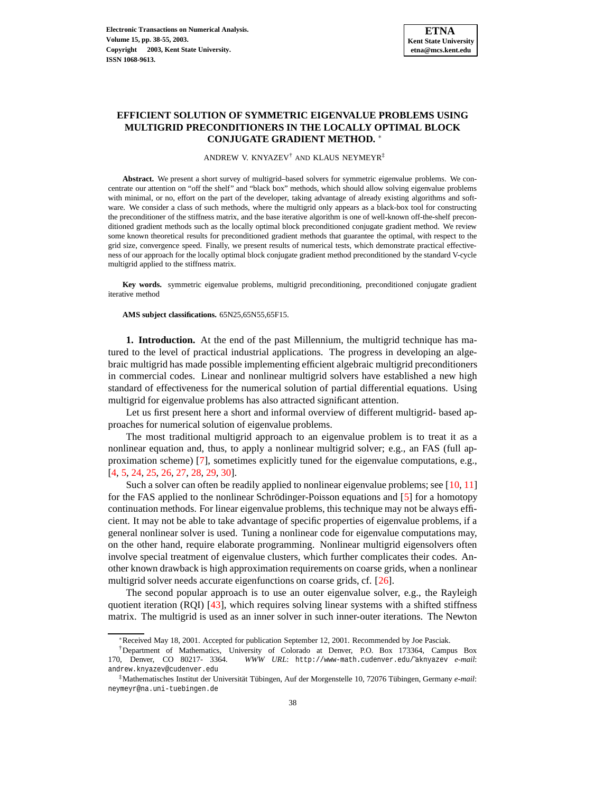# **EFFICIENT SOLUTION OF SYMMETRIC EIGENVALUE PROBLEMS USING MULTIGRID PRECONDITIONERS IN THE LOCALLY OPTIMAL BLOCK CONJUGATE GRADIENT METHOD.** ∗

ANDREW V. KNYAZEV† AND KLAUS NEYMEYR‡

**Abstract.** We present a short survey of multigrid–based solvers for symmetric eigenvalue problems. We concentrate our attention on "off the shelf" and "black box" methods, which should allow solving eigenvalue problems with minimal, or no, effort on the part of the developer, taking advantage of already existing algorithms and software. We consider a class of such methods, where the multigrid only appears as a black-box tool for constructing the preconditioner of the stiffness matrix, and the base iterative algorithm is one of well-known off-the-shelf preconditioned gradient methods such as the locally optimal block preconditioned conjugate gradient method. We review some known theoretical results for preconditioned gradient methods that guarantee the optimal, with respect to the grid size, convergence speed. Finally, we present results of numerical tests, which demonstrate practical effectiveness of our approach for the locally optimal block conjugate gradient method preconditioned by the standard V-cycle multigrid applied to the stiffness matrix.

**Key words.** symmetric eigenvalue problems, multigrid preconditioning, preconditioned conjugate gradient iterative method

**AMS subject classifications.** 65N25,65N55,65F15.

**1. Introduction.** At the end of the past Millennium, the multigrid technique has matured to the level of practical industrial applications. The progress in developing an algebraic multigrid has made possible implementing efficient algebraic multigrid preconditioners in commercial codes. Linear and nonlinear multigrid solvers have established a new high standard of effectiveness for the numerical solution of partial differential equations. Using multigrid for eigenvalue problems has also attracted significant attention.

Let us first present here a short and informal overview of different multigrid- based approaches for numerical solution of eigenvalue problems.

The most traditional multigrid approach to an eigenvalue problem is to treat it as a nonlinear equation and, thus, to apply a nonlinear multigrid solver; e.g., an FAS (full approximation scheme) [\[7](#page-14-0)], sometimes explicitly tuned for the eigenvalue computations, e.g., [\[4](#page-14-1), [5](#page-14-2), [24](#page-15-0), [25](#page-15-1), [26](#page-15-2), [27](#page-15-3), [28](#page-15-4), [29,](#page-15-5) [30\]](#page-15-6).

Such a solver can often be readily applied to nonlinear eigenvalue problems; see  $[10, 11]$  $[10, 11]$  $[10, 11]$ for the FAS applied to the nonlinear Schrödinger-Poisson equations and  $[5]$  for a homotopy continuation methods. For linear eigenvalue problems, this technique may not be always efficient. It may not be able to take advantage of specific properties of eigenvalue problems, if a general nonlinear solver is used. Tuning a nonlinear code for eigenvalue computations may, on the other hand, require elaborate programming. Nonlinear multigrid eigensolvers often involve special treatment of eigenvalue clusters, which further complicates their codes. Another known drawback is high approximation requirements on coarse grids, when a nonlinear multigrid solver needs accurate eigenfunctions on coarse grids, cf. [\[26](#page-15-2)].

The second popular approach is to use an outer eigenvalue solver, e.g., the Rayleigh quotient iteration (RQI) [\[43\]](#page-16-0), which requires solving linear systems with a shifted stiffness matrix. The multigrid is used as an inner solver in such inner-outer iterations. The Newton

<sup>∗</sup>Received May 18, 2001. Accepted for publication September 12, 2001. Recommended by Joe Pasciak.

<sup>†</sup>Department of Mathematics, University of Colorado at Denver, P.O. Box 173364, Campus Box 170, Denver, CO 80217- 3364. *WWW URL*: http://www-math.cudenver.edu/˜aknyazev *e-mail*: andrew.knyazev@cudenver.edu

<sup>‡</sup>Mathematisches Institut der Universität Tübingen, Auf der Morgenstelle 10, 72076 Tübingen, Germany *e-mail*: neymeyr@na.uni-tuebingen.de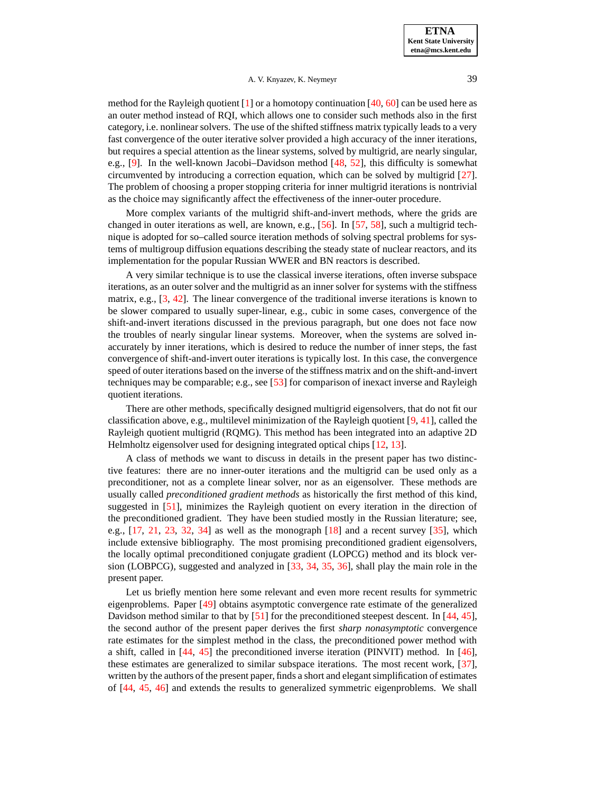method for the Rayleigh quotient  $[1]$  or a homotopy continuation  $[40, 60]$  $[40, 60]$  $[40, 60]$  $[40, 60]$  can be used here as an outer method instead of RQI, which allows one to consider such methods also in the first category, i.e. nonlinear solvers. The use of the shifted stiffness matrix typically leads to a very fast convergence of the outer iterative solver provided a high accuracy of the inner iterations, but requires a special attention as the linear systems, solved by multigrid, are nearly singular, e.g., [\[9\]](#page-14-6). In the well-known Jacobi–Davidson method [\[48](#page-16-2), [52](#page-16-3)], this difficulty is somewhat circumvented by introducing a correction equation, which can be solved by multigrid [\[27](#page-15-3)]. The problem of choosing a proper stopping criteria for inner multigrid iterations is nontrivial as the choice may significantly affect the effectiveness of the inner-outer procedure.

More complex variants of the multigrid shift-and-invert methods, where the grids are changed in outer iterations as well, are known, e.g., [\[56\]](#page-17-1). In [\[57](#page-17-2), [58](#page-17-3)], such a multigrid technique is adopted for so–called source iteration methods of solving spectral problems for systems of multigroup diffusion equations describing the steady state of nuclear reactors, and its implementation for the popular Russian WWER and BN reactors is described.

A very similar technique is to use the classical inverse iterations, often inverse subspace iterations, as an outer solver and the multigrid as an inner solver for systems with the stiffness matrix, e.g., [\[3,](#page-14-7) [42\]](#page-16-4). The linear convergence of the traditional inverse iterations is known to be slower compared to usually super-linear, e.g., cubic in some cases, convergence of the shift-and-invert iterations discussed in the previous paragraph, but one does not face now the troubles of nearly singular linear systems. Moreover, when the systems are solved inaccurately by inner iterations, which is desired to reduce the number of inner steps, the fast convergence of shift-and-invert outer iterations is typically lost. In this case, the convergence speed of outer iterations based on the inverse of the stiffness matrix and on the shift-and-invert techniques may be comparable; e.g., see [\[53\]](#page-16-5) for comparison of inexact inverse and Rayleigh quotient iterations.

There are other methods, specifically designed multigrid eigensolvers, that do not fit our classification above, e.g., multilevel minimization of the Rayleigh quotient [\[9](#page-14-6), [41](#page-16-6)], called the Rayleigh quotient multigrid (RQMG). This method has been integrated into an adaptive 2D Helmholtz eigensolver used for designing integrated optical chips [\[12,](#page-14-8) [13](#page-14-9)].

A class of methods we want to discuss in details in the present paper has two distinctive features: there are no inner-outer iterations and the multigrid can be used only as a preconditioner, not as a complete linear solver, nor as an eigensolver. These methods are usually called *preconditioned gradient methods* as historically the first method of this kind, suggested in [\[51](#page-16-7)], minimizes the Rayleigh quotient on every iteration in the direction of the preconditioned gradient. They have been studied mostly in the Russian literature; see, e.g.,  $[17, 21, 23, 32, 34]$  $[17, 21, 23, 32, 34]$  $[17, 21, 23, 32, 34]$  $[17, 21, 23, 32, 34]$  $[17, 21, 23, 32, 34]$  $[17, 21, 23, 32, 34]$  $[17, 21, 23, 32, 34]$  $[17, 21, 23, 32, 34]$  $[17, 21, 23, 32, 34]$  as well as the monograph  $[18]$  $[18]$  and a recent survey  $[35]$ , which include extensive bibliography. The most promising preconditioned gradient eigensolvers, the locally optimal preconditioned conjugate gradient (LOPCG) method and its block version (LOBPCG), suggested and analyzed in [\[33,](#page-15-12) [34](#page-15-10), [35,](#page-15-11) [36](#page-16-8)], shall play the main role in the present paper.

Let us briefly mention here some relevant and even more recent results for symmetric eigenproblems. Paper [\[49\]](#page-16-9) obtains asymptotic convergence rate estimate of the generalized Davidson method similar to that by [\[51\]](#page-16-7) for the preconditioned steepest descent. In [\[44](#page-16-10), [45](#page-16-11)], the second author of the present paper derives the first *sharp nonasymptotic* convergence rate estimates for the simplest method in the class, the preconditioned power method with a shift, called in [\[44](#page-16-10), [45\]](#page-16-11) the preconditioned inverse iteration (PINVIT) method. In [\[46](#page-16-12)], these estimates are generalized to similar subspace iterations. The most recent work, [\[37](#page-16-13)], written by the authors of the present paper, finds a short and elegant simplification of estimates of [\[44,](#page-16-10) [45](#page-16-11), [46](#page-16-12)] and extends the results to generalized symmetric eigenproblems. We shall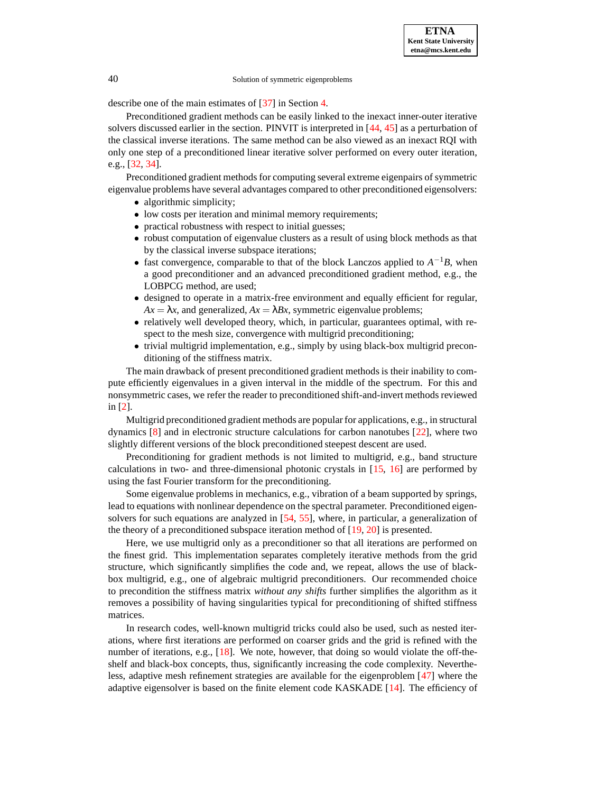describe one of the main estimates of [\[37](#page-16-13)] in Section [4.](#page-6-0)

Preconditioned gradient methods can be easily linked to the inexact inner-outer iterative solvers discussed earlier in the section. PINVIT is interpreted in [\[44](#page-16-10), [45](#page-16-11)] as a perturbation of the classical inverse iterations. The same method can be also viewed as an inexact RQI with only one step of a preconditioned linear iterative solver performed on every outer iteration, e.g., [\[32,](#page-15-9) [34\]](#page-15-10).

Preconditioned gradient methods for computing several extreme eigenpairs of symmetric eigenvalue problems have several advantages compared to other preconditioned eigensolvers:

- algorithmic simplicity;
- low costs per iteration and minimal memory requirements;
- practical robustness with respect to initial guesses;
- robust computation of eigenvalue clusters as a result of using block methods as that by the classical inverse subspace iterations;
- fast convergence, comparable to that of the block Lanczos applied to  $A^{-1}B$ , when a good preconditioner and an advanced preconditioned gradient method, e.g., the LOBPCG method, are used;
- designed to operate in a matrix-free environment and equally efficient for regular,  $Ax = \lambda x$ , and generalized,  $Ax = \lambda Bx$ , symmetric eigenvalue problems;
- relatively well developed theory, which, in particular, guarantees optimal, with respect to the mesh size, convergence with multigrid preconditioning;
- trivial multigrid implementation, e.g., simply by using black-box multigrid preconditioning of the stiffness matrix.

The main drawback of present preconditioned gradient methods is their inability to compute efficiently eigenvalues in a given interval in the middle of the spectrum. For this and nonsymmetric cases, we refer the reader to preconditioned shift-and-invert methods reviewed in [\[2\]](#page-14-12).

Multigrid preconditioned gradient methods are popular for applications, e.g., in structural dynamics [\[8\]](#page-14-13) and in electronic structure calculations for carbon nanotubes [\[22\]](#page-15-13), where two slightly different versions of the block preconditioned steepest descent are used.

Preconditioning for gradient methods is not limited to multigrid, e.g., band structure calculations in two- and three-dimensional photonic crystals in [\[15,](#page-14-14) [16](#page-14-15)] are performed by using the fast Fourier transform for the preconditioning.

Some eigenvalue problems in mechanics, e.g., vibration of a beam supported by springs, lead to equations with nonlinear dependence on the spectral parameter. Preconditioned eigensolvers for such equations are analyzed in [\[54,](#page-16-14) [55](#page-17-4)], where, in particular, a generalization of the theory of a preconditioned subspace iteration method of  $[19, 20]$  $[19, 20]$  $[19, 20]$  $[19, 20]$  is presented.

Here, we use multigrid only as a preconditioner so that all iterations are performed on the finest grid. This implementation separates completely iterative methods from the grid structure, which significantly simplifies the code and, we repeat, allows the use of blackbox multigrid, e.g., one of algebraic multigrid preconditioners. Our recommended choice to precondition the stiffness matrix *without any shifts* further simplifies the algorithm as it removes a possibility of having singularities typical for preconditioning of shifted stiffness matrices.

In research codes, well-known multigrid tricks could also be used, such as nested iterations, where first iterations are performed on coarser grids and the grid is refined with the number of iterations, e.g., [\[18](#page-14-11)]. We note, however, that doing so would violate the off-theshelf and black-box concepts, thus, significantly increasing the code complexity. Nevertheless, adaptive mesh refinement strategies are available for the eigenproblem [\[47\]](#page-16-15) where the adaptive eigensolver is based on the finite element code KASKADE [\[14\]](#page-14-16). The efficiency of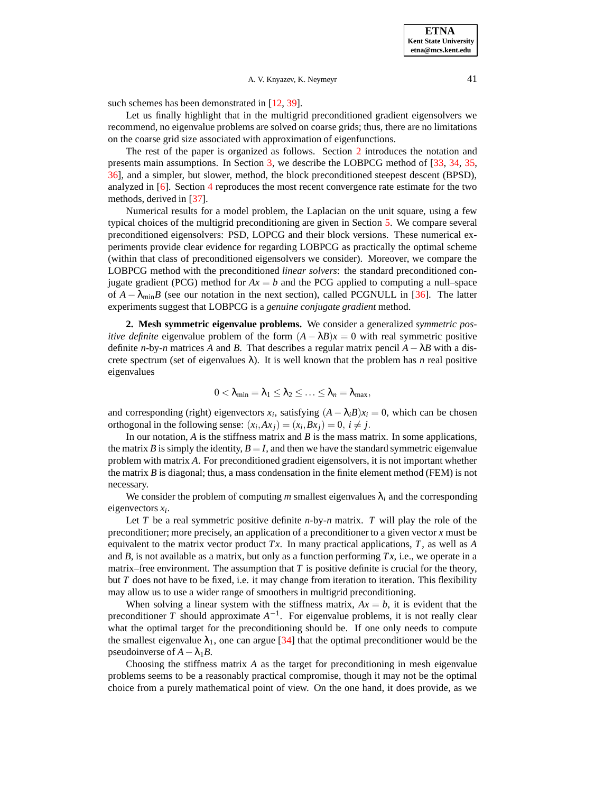such schemes has been demonstrated in [\[12,](#page-14-8) [39\]](#page-16-16).

Let us finally highlight that in the multigrid preconditioned gradient eigensolvers we recommend, no eigenvalue problems are solved on coarse grids; thus, there are no limitations on the coarse grid size associated with approximation of eigenfunctions.

The rest of the paper is organized as follows. Section [2](#page-3-0) introduces the notation and presents main assumptions. In Section [3,](#page-4-0) we describe the LOBPCG method of [\[33](#page-15-12), [34,](#page-15-10) [35](#page-15-11), [36\]](#page-16-8), and a simpler, but slower, method, the block preconditioned steepest descent (BPSD), analyzed in [\[6](#page-14-17)]. Section [4](#page-6-0) reproduces the most recent convergence rate estimate for the two methods, derived in [\[37](#page-16-13)].

Numerical results for a model problem, the Laplacian on the unit square, using a few typical choices of the multigrid preconditioning are given in Section [5.](#page-7-0) We compare several preconditioned eigensolvers: PSD, LOPCG and their block versions. These numerical experiments provide clear evidence for regarding LOBPCG as practically the optimal scheme (within that class of preconditioned eigensolvers we consider). Moreover, we compare the LOBPCG method with the preconditioned *linear solvers*: the standard preconditioned conjugate gradient (PCG) method for  $Ax = b$  and the PCG applied to computing a null–space of  $A - \lambda_{\text{min}}B$  (see our notation in the next section), called PCGNULL in [\[36\]](#page-16-8). The latter experiments suggest that LOBPCG is a *genuine conjugate gradient* method.

<span id="page-3-0"></span>**2. Mesh symmetric eigenvalue problems.** We consider a generalized *symmetric positive definite* eigenvalue problem of the form  $(A - \lambda B)x = 0$  with real symmetric positive definite *n*-by-*n* matrices *A* and *B*. That describes a regular matrix pencil  $A - \lambda B$  with a discrete spectrum (set of eigenvalues  $\lambda$ ). It is well known that the problem has *n* real positive eigenvalues

$$
0<\lambda_{\min}=\lambda_1\leq\lambda_2\leq\ldots\leq\lambda_n=\lambda_{\max},
$$

and corresponding (right) eigenvectors  $x_i$ , satisfying  $(A - \lambda_i B)x_i = 0$ , which can be chosen orthogonal in the following sense:  $(x_i, Ax_j) = (x_i, Bx_j) = 0, i \neq j$ .

In our notation, *A* is the stiffness matrix and *B* is the mass matrix. In some applications, the matrix *B* is simply the identity,  $B = I$ , and then we have the standard symmetric eigenvalue problem with matrix *A*. For preconditioned gradient eigensolvers, it is not important whether the matrix *B* is diagonal; thus, a mass condensation in the finite element method (FEM) is not necessary.

We consider the problem of computing *m* smallest eigenvalues  $\lambda_i$  and the corresponding eigenvectors *x<sup>i</sup>* .

Let *T* be a real symmetric positive definite *n*-by-*n* matrix. *T* will play the role of the preconditioner; more precisely, an application of a preconditioner to a given vector *x* must be equivalent to the matrix vector product *Tx*. In many practical applications, *T*, as well as *A* and  $B$ , is not available as a matrix, but only as a function performing  $Tx$ , i.e., we operate in a matrix–free environment. The assumption that  $T$  is positive definite is crucial for the theory, but *T* does not have to be fixed, i.e. it may change from iteration to iteration. This flexibility may allow us to use a wider range of smoothers in multigrid preconditioning.

When solving a linear system with the stiffness matrix,  $Ax = b$ , it is evident that the preconditioner *T* should approximate  $A^{-1}$ . For eigenvalue problems, it is not really clear what the optimal target for the preconditioning should be. If one only needs to compute the smallest eigenvalue  $\lambda_1$ , one can argue [\[34](#page-15-10)] that the optimal preconditioner would be the pseudoinverse of  $A - \lambda_1 B$ .

Choosing the stiffness matrix *A* as the target for preconditioning in mesh eigenvalue problems seems to be a reasonably practical compromise, though it may not be the optimal choice from a purely mathematical point of view. On the one hand, it does provide, as we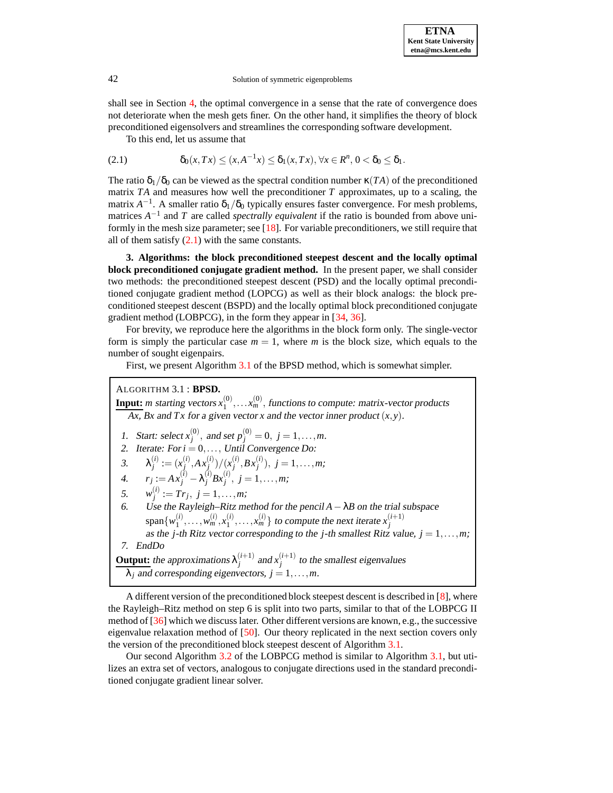shall see in Section [4,](#page-6-0) the optimal convergence in a sense that the rate of convergence does not deteriorate when the mesh gets finer. On the other hand, it simplifies the theory of block preconditioned eigensolvers and streamlines the corresponding software development.

To this end, let us assume that

<span id="page-4-1"></span>
$$
(2.1) \qquad \delta_0(x,Tx) \le (x, A^{-1}x) \le \delta_1(x,Tx), \forall x \in R^n, 0 < \delta_0 \le \delta_1.
$$

The ratio  $\delta_1/\delta_0$  can be viewed as the spectral condition number  $\kappa(TA)$  of the preconditioned matrix *TA* and measures how well the preconditioner *T* approximates, up to a scaling, the matrix  $A^{-1}$ . A smaller ratio  $\delta_1/\delta_0$  typically ensures faster convergence. For mesh problems, matrices *A*<sup>-1</sup> and *T* are called *spectrally equivalent* if the ratio is bounded from above uniformly in the mesh size parameter; see  $[18]$ . For variable preconditioners, we still require that all of them satisfy  $(2.1)$  with the same constants.

<span id="page-4-0"></span>**3. Algorithms: the block preconditioned steepest descent and the locally optimal block preconditioned conjugate gradient method.** In the present paper, we shall consider two methods: the preconditioned steepest descent (PSD) and the locally optimal preconditioned conjugate gradient method (LOPCG) as well as their block analogs: the block preconditioned steepest descent (BSPD) and the locally optimal block preconditioned conjugate gradient method (LOBPCG), in the form they appear in [\[34](#page-15-10), [36](#page-16-8)].

For brevity, we reproduce here the algorithms in the block form only. The single-vector form is simply the particular case  $m = 1$ , where m is the block size, which equals to the number of sought eigenpairs.

First, we present Algorithm [3.1](#page-4-2) of the BPSD method, which is somewhat simpler.

<span id="page-4-2"></span>ALGORITHM 3.1 : **BPSD.**

**Input:** *m* starting vectors  $x_1^{(0)}$  $x_1^{(0)}, \ldots, x_m^{(0)}$ , functions to compute: matrix-vector products  $\overline{Ax}$ ,  $\overline{B}x$  and  $\overline{Tx}$  for a given vector *x* and the vector inner product  $(x, y)$ .

1. Start: select  $x_j^{(0)}$ , and set  $p_j^{(0)} = 0$ ,  $j = 1, ..., m$ . 2. Iterate: For  $i = 0, \ldots,$  Until Convergence Do: 3.  $\lambda_j^{(i)} := (x_j^{(i)}, Ax_j^{(i)})/(x_j^{(i)}, Bx_j^{(i)}), j = 1, ..., m;$ 4.  $r_j := Ax_j^{(i)} - \lambda_j^{(i)} Bx_j^{(i)}, \ j = 1, \ldots, m;$ 5.  $w_j^{(i)} := Tr_j, j = 1, ..., m;$ 6. Use the Rayleigh–Ritz method for the pencil *A*−λ*B* on the trial subspace  $\text{span}\{w_1^{(i)}\}$  $y_1^{(i)}, \ldots, y_m^{(i)}, x_1^{(i)}$ span $\{w_1^{(i)}, \ldots, w_m^{(i)}, x_1^{(i)}, \ldots, x_m^{(i)}\}$  to compute the next iterate  $x_j^{(i+1)}$  as the *j*-th Ritz vector corresponding to the *j*-th smallest Ritz value, *j* = 1,...,*m*; 7. EndDo **Output:** the approximations  $\lambda_i^{(i+1)}$  $j^{(i+1)}$  and  $x_j^{(i+1)}$  $j_j^{(k+1)}$  to the smallest eigenvalues  $\lambda_i$  and corresponding eigenvectors,  $j = 1, \ldots, m$ .

A different version of the preconditioned block steepest descent is described in [\[8\]](#page-14-13), where the Rayleigh–Ritz method on step 6 is split into two parts, similar to that of the LOBPCG II method of [\[36](#page-16-8)] which we discuss later. Other different versions are known, e.g., the successive eigenvalue relaxation method of [\[50\]](#page-16-17). Our theory replicated in the next section covers only the version of the preconditioned block steepest descent of Algorithm [3.1.](#page-4-2)

Our second Algorithm [3.2](#page-5-0) of the LOBPCG method is similar to Algorithm [3.1,](#page-4-2) but utilizes an extra set of vectors, analogous to conjugate directions used in the standard preconditioned conjugate gradient linear solver.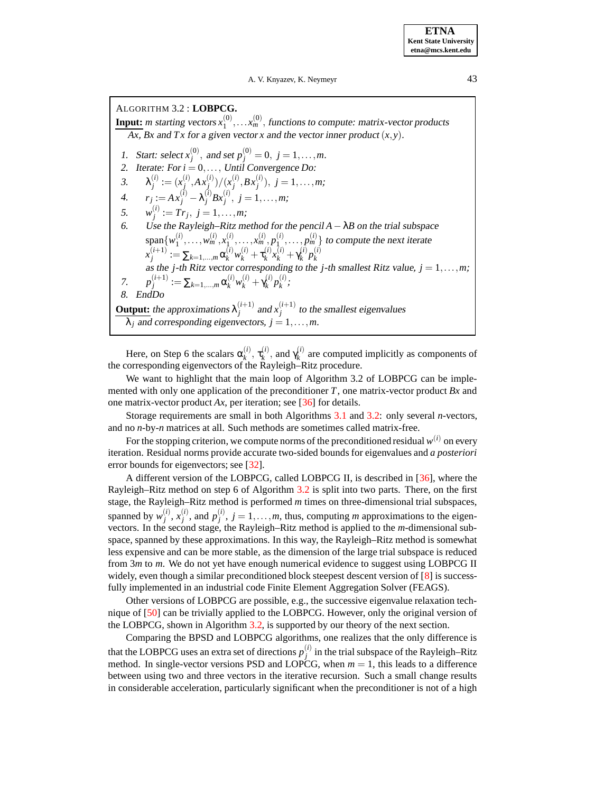**ETNA Kent State University etna@mcs.kent.edu**

A. V. Knyazev, K. Neymeyr 43

<span id="page-5-0"></span>ALGORITHM 3.2 : **LOBPCG. Input:** *m* starting vectors  $x_1^{(0)}$  $x_1^{(0)}, \ldots, x_m^{(0)}$ , functions to compute: matrix-vector products  $\overline{Ax}$ ,  $\overline{Bx}$  and  $\overline{Tx}$  for a given vector *x* and the vector inner product  $(x, y)$ . 1. Start: select  $x_j^{(0)}$ , and set  $p_j^{(0)} = 0$ ,  $j = 1, ..., m$ . 2. Iterate: For  $i = 0, \ldots,$  Until Convergence Do: 3.  $\lambda_j^{(i)} := (x_j^{(i)}, Ax_j^{(i)})/(x_j^{(i)}, Bx_j^{(i)}), j = 1, ..., m;$ 4.  $r_j := Ax_j^{(i)} - \lambda_j^{(i)} Bx_j^{(i)}, \ j = 1, \ldots, m;$ 5.  $w_j^{(i)} := Tr_j, j = 1, ..., m;$ 6. Use the Rayleigh–Ritz method for the pencil *A*−λ*B* on the trial subspace span $\{w_1^{(i)}\}$  $y_1^{(i)}, \ldots, y_m^{(i)}, x_1^{(i)}$  $x_1^{(i)}, \ldots, x_m^{(i)}, p_1^{(i)}$  $\{p_1^{(i)}, \ldots, p_m^{(i)}\}$  to compute the next iterate  $x_i^{(i+1)}$  $\mathbf{y}_{j}^{(i+1)}:=\sum_{k=1,...,m}\mathbf{\alpha}_{k}^{(i)}w_{k}^{(i)}+\tau_{k}^{(i)}$  $x_k^{(i)}x_k^{(i)} + \gamma_k^{(i)}$  $\binom{i}{k}p_k^{(i)}$ as the *j*-th Ritz vector corresponding to the *j*-th smallest Ritz value, *j* = 1,...,*m*; 7.  $p_i^{(i+1)}$  $\alpha_k^{(i+1)} := \sum_{k=1,...,m} \alpha_k^{(i)} w_k^{(i)} + \gamma_k^{(i)}$  $\binom{i}{k}p_k^{(i)}$ *k* ; 8. EndDo **Output:** the approximations  $\lambda_i^{(i+1)}$  $j^{(i+1)}$  and  $x_j^{(i+1)}$  $j_j^{(k+1)}$  to the smallest eigenvalues  $\lambda_i$  and corresponding eigenvectors,  $j = 1, \ldots, m$ .

Here, on Step 6 the scalars  $\alpha_k^{(i)}$  $\mathfrak{r}_k^{(i)},\,\mathfrak{r}_k^{(i)}$  $\chi_k^{(i)}$ , and  $\gamma_k^{(i)}$  $k_k^{(t)}$  are computed implicitly as components of the corresponding eigenvectors of the Rayleigh–Ritz procedure.

We want to highlight that the main loop of Algorithm 3.2 of LOBPCG can be implemented with only one application of the preconditioner *T*, one matrix-vector product *Bx* and one matrix-vector product *Ax*, per iteration; see [\[36\]](#page-16-8) for details.

Storage requirements are small in both Algorithms [3.1](#page-4-2) and [3.2:](#page-5-0) only several *n*-vectors, and no *n*-by-*n* matrices at all. Such methods are sometimes called matrix-free.

For the stopping criterion, we compute norms of the preconditioned residual  $w^{(i)}$  on every iteration. Residual norms provide accurate two-sided bounds for eigenvalues and *a posteriori* error bounds for eigenvectors; see [\[32\]](#page-15-9).

A different version of the LOBPCG, called LOBPCG II, is described in [\[36](#page-16-8)], where the Rayleigh–Ritz method on step 6 of Algorithm [3.2](#page-5-0) is split into two parts. There, on the first stage, the Rayleigh–Ritz method is performed *m* times on three-dimensional trial subspaces, spanned by  $w_i^{(i)}$  $j^{(i)}$ ,  $x_j^{(i)}$  $\binom{i}{j}$ , and  $p_j^{(i)}$  $j^{(l)}$ ,  $j = 1, \ldots, m$ , thus, computing *m* approximations to the eigenvectors. In the second stage, the Rayleigh–Ritz method is applied to the *m*-dimensional subspace, spanned by these approximations. In this way, the Rayleigh–Ritz method is somewhat less expensive and can be more stable, as the dimension of the large trial subspace is reduced from 3*m* to *m*. We do not yet have enough numerical evidence to suggest using LOBPCG II widely, even though a similar preconditioned block steepest descent version of [\[8](#page-14-13)] is successfully implemented in an industrial code Finite Element Aggregation Solver (FEAGS).

Other versions of LOBPCG are possible, e.g., the successive eigenvalue relaxation technique of [\[50\]](#page-16-17) can be trivially applied to the LOBPCG. However, only the original version of the LOBPCG, shown in Algorithm [3.2,](#page-5-0) is supported by our theory of the next section.

Comparing the BPSD and LOBPCG algorithms, one realizes that the only difference is that the LOBPCG uses an extra set of directions  $p_j^{(i)}$  in the trial subspace of the Rayleigh–Ritz method. In single-vector versions PSD and LOPCG, when  $m = 1$ , this leads to a difference between using two and three vectors in the iterative recursion. Such a small change results in considerable acceleration, particularly significant when the preconditioner is not of a high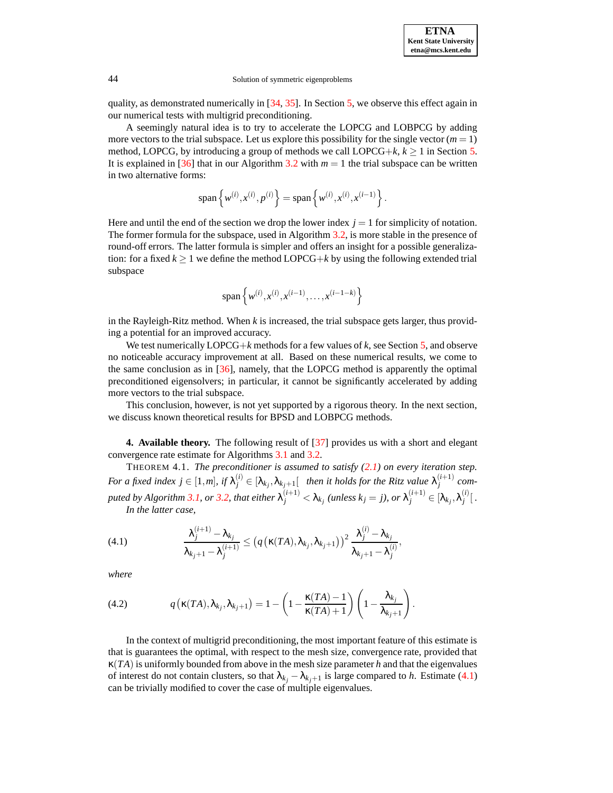

quality, as demonstrated numerically in  $[34, 35]$  $[34, 35]$  $[34, 35]$ . In Section [5,](#page-7-0) we observe this effect again in our numerical tests with multigrid preconditioning.

A seemingly natural idea is to try to accelerate the LOPCG and LOBPCG by adding more vectors to the trial subspace. Let us explore this possibility for the single vector  $(m = 1)$ method, LOPCG, by introducing a group of methods we call LOPCG+ $k, k \ge 1$  in Section [5.](#page-7-0) It is explained in [\[36](#page-16-8)] that in our Algorithm [3.2](#page-5-0) with  $m = 1$  the trial subspace can be written in two alternative forms:

$$
\text{span}\left\{w^{(i)}, x^{(i)}, p^{(i)}\right\} = \text{span}\left\{w^{(i)}, x^{(i)}, x^{(i-1)}\right\}.
$$

Here and until the end of the section we drop the lower index  $j = 1$  for simplicity of notation. The former formula for the subspace, used in Algorithm [3.2,](#page-5-0) is more stable in the presence of round-off errors. The latter formula is simpler and offers an insight for a possible generalization: for a fixed  $k \geq 1$  we define the method LOPCG+ $k$  by using the following extended trial subspace

$$
\text{span}\left\{w^{(i)}, x^{(i)}, x^{(i-1)}, \dots, x^{(i-1-k)}\right\}
$$

in the Rayleigh-Ritz method. When *k* is increased, the trial subspace gets larger, thus providing a potential for an improved accuracy.

We test numerically  $LOPCG+k$  methods for a few values of  $k$ , see Section [5,](#page-7-0) and observe no noticeable accuracy improvement at all. Based on these numerical results, we come to the same conclusion as in  $[36]$ , namely, that the LOPCG method is apparently the optimal preconditioned eigensolvers; in particular, it cannot be significantly accelerated by adding more vectors to the trial subspace.

This conclusion, however, is not yet supported by a rigorous theory. In the next section, we discuss known theoretical results for BPSD and LOBPCG methods.

<span id="page-6-2"></span><span id="page-6-0"></span>**4. Available theory.** The following result of [\[37\]](#page-16-13) provides us with a short and elegant convergence rate estimate for Algorithms [3.1](#page-4-2) and [3.2.](#page-5-0)

THEOREM 4.1. *The preconditioner is assumed to satisfy [\(2.1\)](#page-4-1) on every iteration step.* For a fixed index  $j\in[1,m]$ , if  $\lambda_j^{(i)}\in[\lambda_{k_j},\lambda_{k_j+1}[$  then it holds for the Ritz value  $\lambda_j^{(i+1)}$  com-puted by Algorithm [3.1,](#page-4-2) or [3.2,](#page-5-0) that either  $\lambda_j^{(i+1)}<\lambda_{k_j}$  (unless  $k_j=j$ ), or  $\lambda_j^{(i+1)}\in[\lambda_{k_j},\lambda_j^{(i)}]$  $\int\limits_{j}^{(t)}$ . *In the latter case,*

<span id="page-6-1"></span>(4.1) 
$$
\frac{\lambda_j^{(i+1)} - \lambda_{k_j}}{\lambda_{k_j+1} - \lambda_j^{(i+1)}} \leq \left( q\left(\kappa(TA), \lambda_{k_j}, \lambda_{k_j+1}\right)\right)^2 \frac{\lambda_j^{(i)} - \lambda_{k_j}}{\lambda_{k_j+1} - \lambda_j^{(i)}},
$$

*where*

<span id="page-6-3"></span>(4.2) 
$$
q\left(\kappa(TA),\lambda_{k_j},\lambda_{k_{j+1}}\right)=1-\left(1-\frac{\kappa(TA)-1}{\kappa(TA)+1}\right)\left(1-\frac{\lambda_{k_j}}{\lambda_{k_j+1}}\right).
$$

In the context of multigrid preconditioning, the most important feature of this estimate is that is guarantees the optimal, with respect to the mesh size, convergence rate, provided that  $\kappa(TA)$  is uniformly bounded from above in the mesh size parameter *h* and that the eigenvalues of interest do not contain clusters, so that  $\lambda_{k_j} - \lambda_{k_j+1}$  is large compared to *h*. Estimate [\(4.1\)](#page-6-1) can be trivially modified to cover the case of multiple eigenvalues.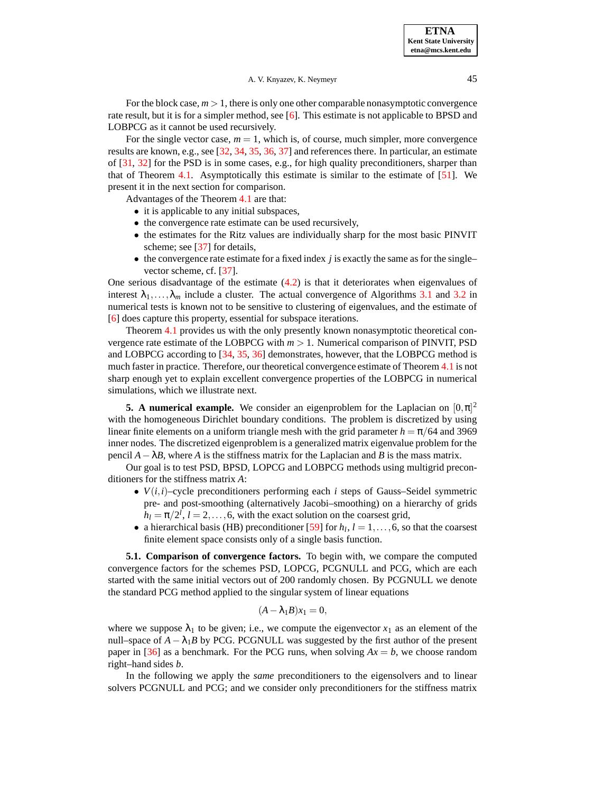For the block case,  $m > 1$ , there is only one other comparable nonasymptotic convergence rate result, but it is for a simpler method, see [\[6](#page-14-17)]. This estimate is not applicable to BPSD and LOBPCG as it cannot be used recursively.

For the single vector case,  $m = 1$ , which is, of course, much simpler, more convergence results are known, e.g., see [\[32,](#page-15-9) [34](#page-15-10), [35,](#page-15-11) [36,](#page-16-8) [37](#page-16-13)] and references there. In particular, an estimate of [\[31](#page-15-16), [32\]](#page-15-9) for the PSD is in some cases, e.g., for high quality preconditioners, sharper than that of Theorem  $4.1$ . Asymptotically this estimate is similar to the estimate of  $[51]$  $[51]$ . We present it in the next section for comparison.

Advantages of the Theorem [4.1](#page-6-2) are that:

- it is applicable to any initial subspaces,
- the convergence rate estimate can be used recursively,
- the estimates for the Ritz values are individually sharp for the most basic PINVIT scheme; see [\[37\]](#page-16-13) for details,
- the convergence rate estimate for a fixed index *j* is exactly the same as for the single– vector scheme, cf. [\[37\]](#page-16-13).

One serious disadvantage of the estimate  $(4.2)$  is that it deteriorates when eigenvalues of interest  $\lambda_1, \ldots, \lambda_m$  include a cluster. The actual convergence of Algorithms [3.1](#page-4-2) and [3.2](#page-5-0) in numerical tests is known not to be sensitive to clustering of eigenvalues, and the estimate of [\[6](#page-14-17)] does capture this property, essential for subspace iterations.

Theorem [4.1](#page-6-2) provides us with the only presently known nonasymptotic theoretical convergence rate estimate of the LOBPCG with  $m > 1$ . Numerical comparison of PINVIT, PSD and LOBPCG according to [\[34,](#page-15-10) [35,](#page-15-11) [36\]](#page-16-8) demonstrates, however, that the LOBPCG method is much faster in practice. Therefore, our theoretical convergence estimate of Theorem [4.1](#page-6-2) is not sharp enough yet to explain excellent convergence properties of the LOBPCG in numerical simulations, which we illustrate next.

<span id="page-7-0"></span>**5. A** numerical example. We consider an eigenproblem for the Laplacian on  $[0, \pi]^2$ with the homogeneous Dirichlet boundary conditions. The problem is discretized by using linear finite elements on a uniform triangle mesh with the grid parameter  $h = \pi/64$  and 3969 inner nodes. The discretized eigenproblem is a generalized matrix eigenvalue problem for the pencil  $A - \lambda B$ , where *A* is the stiffness matrix for the Laplacian and *B* is the mass matrix.

Our goal is to test PSD, BPSD, LOPCG and LOBPCG methods using multigrid preconditioners for the stiffness matrix *A*:

- $V(i,i)$ –cycle preconditioners performing each *i* steps of Gauss–Seidel symmetric pre- and post-smoothing (alternatively Jacobi–smoothing) on a hierarchy of grids  $h_l = \pi/2^l$ ,  $l = 2, \ldots, 6$ , with the exact solution on the coarsest grid,
- a hierarchical basis (HB) preconditioner [\[59](#page-17-5)] for  $h_l$ ,  $l = 1, \ldots, 6$ , so that the coarsest finite element space consists only of a single basis function.

**5.1. Comparison of convergence factors.** To begin with, we compare the computed convergence factors for the schemes PSD, LOPCG, PCGNULL and PCG, which are each started with the same initial vectors out of 200 randomly chosen. By PCGNULL we denote the standard PCG method applied to the singular system of linear equations

$$
(A - \lambda_1 B)x_1 = 0,
$$

where we suppose  $\lambda_1$  to be given; i.e., we compute the eigenvector  $x_1$  as an element of the null–space of  $A - \lambda_1 B$  by PCG. PCGNULL was suggested by the first author of the present paper in [\[36\]](#page-16-8) as a benchmark. For the PCG runs, when solving  $Ax = b$ , we choose random right–hand sides *b*.

In the following we apply the *same* preconditioners to the eigensolvers and to linear solvers PCGNULL and PCG; and we consider only preconditioners for the stiffness matrix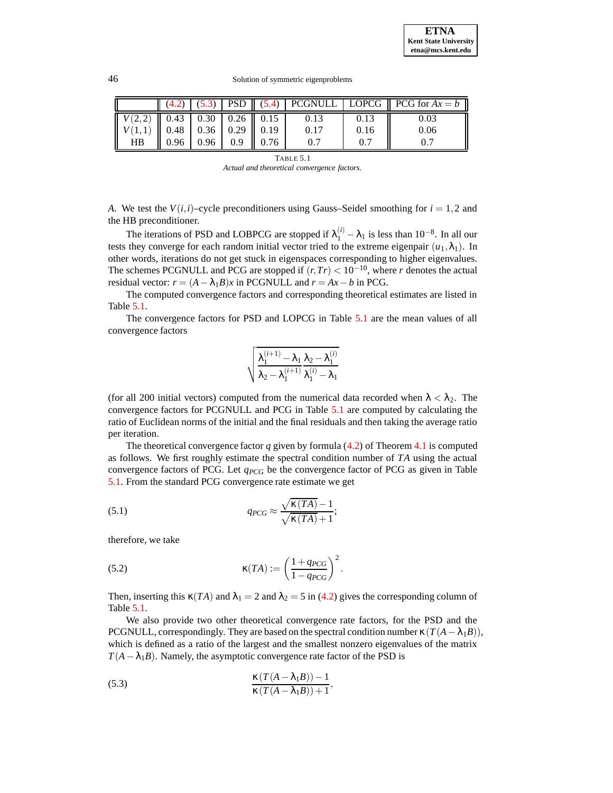**ETNA Kent State University etna@mcs.kent.edu**

#### 46 Solution of symmetric eigenproblems

|                                                                      |                                      |  |      |      | $\ $ (4.2) $ $ (5.3)   PSD $\ $ (5.4)   PCGNULL   LOPCG $\ $ PCG for $Ax = b$ |
|----------------------------------------------------------------------|--------------------------------------|--|------|------|-------------------------------------------------------------------------------|
| $\mid V(2,2) \mid 0.43 \mid 0.30 \mid 0.26 \mid 0.15 \mid$           |                                      |  | 0.13 | 0.13 | 0.03                                                                          |
| $\mid V(1,1) \mid \mid 0.48 \mid 0.36 \mid 0.29 \mid \mid 0.19 \mid$ |                                      |  | 0.17 | 0.16 | 0.06                                                                          |
| <b>HB</b>                                                            | $\parallel$ 0.96   0.96   0.9   0.76 |  |      |      |                                                                               |

TABLE 5.1 *Actual and theoretical convergence factors.*

<span id="page-8-1"></span>*A*. We test the  $V(i,i)$ –cycle preconditioners using Gauss–Seidel smoothing for  $i = 1,2$  and the HB preconditioner.

The iterations of PSD and LOBPCG are stopped if  $\lambda_1^{(i)} - \lambda_1$  is less than 10<sup>-8</sup>. In all our tests they converge for each random initial vector tried to the extreme eigenpair  $(u_1, \lambda_1)$ . In other words, iterations do not get stuck in eigenspaces corresponding to higher eigenvalues. The schemes PCGNULL and PCG are stopped if  $(r, Tr) < 10^{-10}$ , where *r* denotes the actual residual vector:  $r = (A - \lambda_1 B)x$  in PCGNULL and  $r = Ax - b$  in PCG.

The computed convergence factors and corresponding theoretical estimates are listed in Table [5.1.](#page-8-1)

The convergence factors for PSD and LOPCG in Table [5.1](#page-8-1) are the mean values of all convergence factors

$$
\sqrt{\frac{\lambda_1^{(i+1)}-\lambda_1}{\lambda_2-\lambda_1^{(i+1)}}\frac{\lambda_2-\lambda_1^{(i)}}{\lambda_1^{(i)}-\lambda_1}}
$$

(for all 200 initial vectors) computed from the numerical data recorded when  $\lambda < \lambda_2$ . The convergence factors for PCGNULL and PCG in Table [5.1](#page-8-1) are computed by calculating the ratio of Euclidean norms of the initial and the final residuals and then taking the average ratio per iteration.

The theoretical convergence factor *q* given by formula [\(4.2\)](#page-6-3) of Theorem [4.1](#page-6-2) is computed as follows. We first roughly estimate the spectral condition number of *TA* using the actual convergence factors of PCG. Let  $q_{PCG}$  be the convergence factor of PCG as given in Table [5.1.](#page-8-1) From the standard PCG convergence rate estimate we get

(5.1) 
$$
q_{PCG} \approx \frac{\sqrt{\kappa (TA)} - 1}{\sqrt{\kappa (TA)} + 1};
$$

therefore, we take

<span id="page-8-2"></span>(5.2) 
$$
\kappa(TA) := \left(\frac{1 + q_{PCG}}{1 - q_{PCG}}\right)^2.
$$

Then, inserting this  $\kappa(TA)$  and  $\lambda_1 = 2$  and  $\lambda_2 = 5$  in [\(4.2\)](#page-6-3) gives the corresponding column of Table [5.1.](#page-8-1)

We also provide two other theoretical convergence rate factors, for the PSD and the PCGNULL, correspondingly. They are based on the spectral condition number  $\kappa(T(A - \lambda_1 B))$ , which is defined as a ratio of the largest and the smallest nonzero eigenvalues of the matrix  $T(A - \lambda_1 B)$ . Namely, the asymptotic convergence rate factor of the PSD is

<span id="page-8-0"></span>(5.3) 
$$
\frac{\kappa (T(A - \lambda_1 B)) - 1}{\kappa (T(A - \lambda_1 B)) + 1},
$$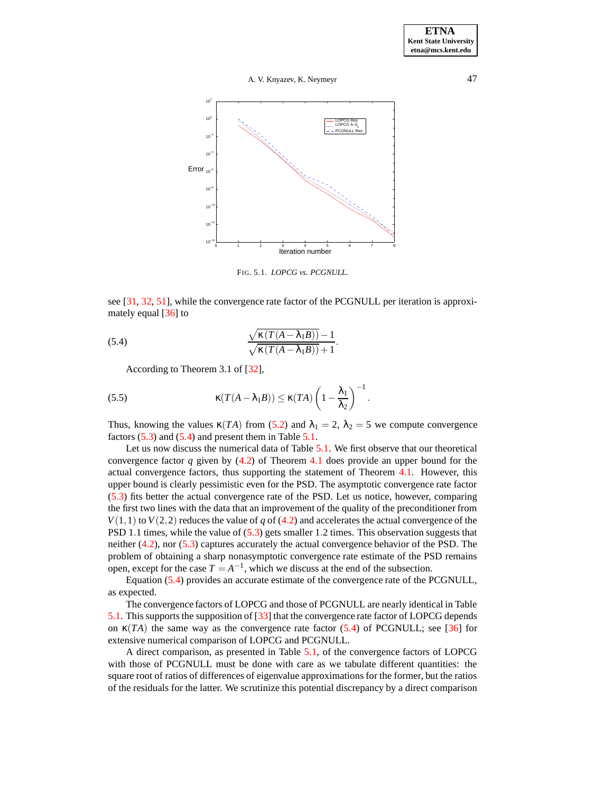

<span id="page-9-1"></span>FIG. 5.1. *LOPCG vs. PCGNULL.*

see [\[31,](#page-15-16) [32](#page-15-9), [51](#page-16-7)], while the convergence rate factor of the PCGNULL per iteration is approximately equal [\[36\]](#page-16-8) to

(5.4) 
$$
\frac{\sqrt{\kappa (T(A - \lambda_1 B))} - 1}{\sqrt{\kappa (T(A - \lambda_1 B))} + 1}.
$$

<span id="page-9-2"></span><span id="page-9-0"></span>According to Theorem 3.1 of [\[32](#page-15-9)],

(5.5) 
$$
\kappa(T(A - \lambda_1 B)) \leq \kappa(TA) \left(1 - \frac{\lambda_1}{\lambda_2}\right)^{-1}.
$$

Thus, knowing the values  $\kappa(TA)$  from [\(5.2\)](#page-8-2) and  $\lambda_1 = 2$ ,  $\lambda_2 = 5$  we compute convergence factors  $(5.3)$  and  $(5.4)$  and present them in Table  $5.1$ .

Let us now discuss the numerical data of Table [5.1.](#page-8-1) We first observe that our theoretical convergence factor *q* given by [\(4.2\)](#page-6-3) of Theorem [4.1](#page-6-2) does provide an upper bound for the actual convergence factors, thus supporting the statement of Theorem [4.1.](#page-6-2) However, this upper bound is clearly pessimistic even for the PSD. The asymptotic convergence rate factor [\(5.3\)](#page-8-0) fits better the actual convergence rate of the PSD. Let us notice, however, comparing the first two lines with the data that an improvement of the quality of the preconditioner from  $V(1,1)$  to  $V(2,2)$  reduces the value of *q* of [\(4.2\)](#page-6-3) and accelerates the actual convergence of the PSD 1.1 times, while the value of [\(5.3\)](#page-8-0) gets smaller 1.2 times. This observation suggests that neither [\(4.2\)](#page-6-3), nor [\(5.3\)](#page-8-0) captures accurately the actual convergence behavior of the PSD. The problem of obtaining a sharp nonasymptotic convergence rate estimate of the PSD remains open, except for the case  $T = A^{-1}$ , which we discuss at the end of the subsection.

Equation [\(5.4\)](#page-9-0) provides an accurate estimate of the convergence rate of the PCGNULL, as expected.

The convergence factors of LOPCG and those of PCGNULL are nearly identical in Table [5.1.](#page-8-1) This supports the supposition of [\[33\]](#page-15-12) that the convergence rate factor of LOPCG depends on  $\kappa(TA)$  the same way as the convergence rate factor [\(5.4\)](#page-9-0) of PCGNULL; see [\[36](#page-16-8)] for extensive numerical comparison of LOPCG and PCGNULL.

A direct comparison, as presented in Table [5.1,](#page-8-1) of the convergence factors of LOPCG with those of PCGNULL must be done with care as we tabulate different quantities: the square root of ratios of differences of eigenvalue approximations for the former, but the ratios of the residuals for the latter. We scrutinize this potential discrepancy by a direct comparison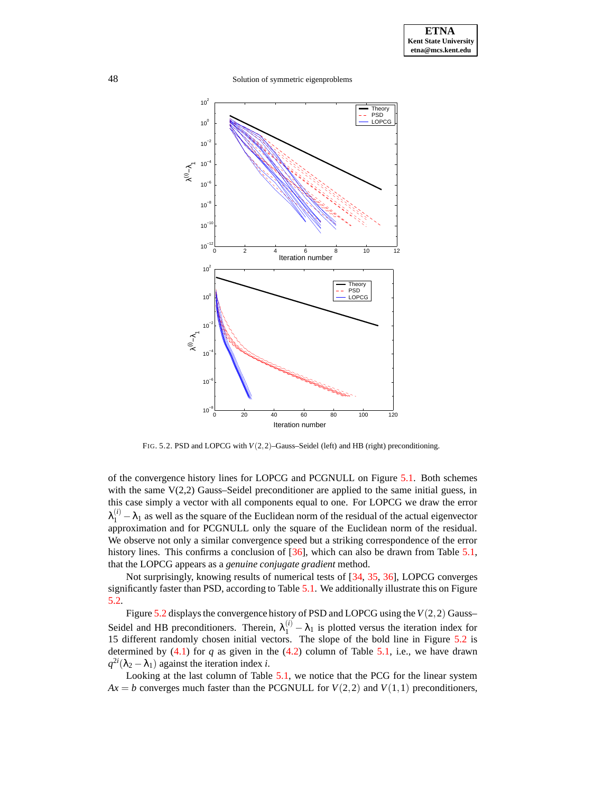48 Solution of symmetric eigenproblems



FIG. 5.2. PSD and LOPCG with *V*(2,2)–Gauss–Seidel (left) and HB (right) preconditioning.

<span id="page-10-0"></span>of the convergence history lines for LOPCG and PCGNULL on Figure [5.1.](#page-9-1) Both schemes with the same  $V(2,2)$  Gauss–Seidel preconditioner are applied to the same initial guess, in this case simply a vector with all components equal to one. For LOPCG we draw the error  $\lambda_1^{(i)} - \lambda_1$  as well as the square of the Euclidean norm of the residual of the actual eigenvector approximation and for PCGNULL only the square of the Euclidean norm of the residual. We observe not only a similar convergence speed but a striking correspondence of the error history lines. This confirms a conclusion of [\[36\]](#page-16-8), which can also be drawn from Table [5.1,](#page-8-1) that the LOPCG appears as a *genuine conjugate gradient* method.

Not surprisingly, knowing results of numerical tests of [\[34,](#page-15-10) [35,](#page-15-11) [36\]](#page-16-8), LOPCG converges significantly faster than PSD, according to Table [5.1.](#page-8-1) We additionally illustrate this on Figure [5.2.](#page-10-0)

Figure [5.2](#page-10-0) displays the convergence history of PSD and LOPCG using the  $V(2,2)$  Gauss– Seidel and HB preconditioners. Therein,  $\lambda_1^{(i)} - \lambda_1$  is plotted versus the iteration index for 15 different randomly chosen initial vectors. The slope of the bold line in Figure [5.2](#page-10-0) is determined by  $(4.1)$  for  $q$  as given in the  $(4.2)$  column of Table [5.1,](#page-8-1) i.e., we have drawn  $q^{2i}(\lambda_2 - \lambda_1)$  against the iteration index *i*.

Looking at the last column of Table [5.1,](#page-8-1) we notice that the PCG for the linear system  $Ax = b$  converges much faster than the PCGNULL for  $V(2,2)$  and  $V(1,1)$  preconditioners,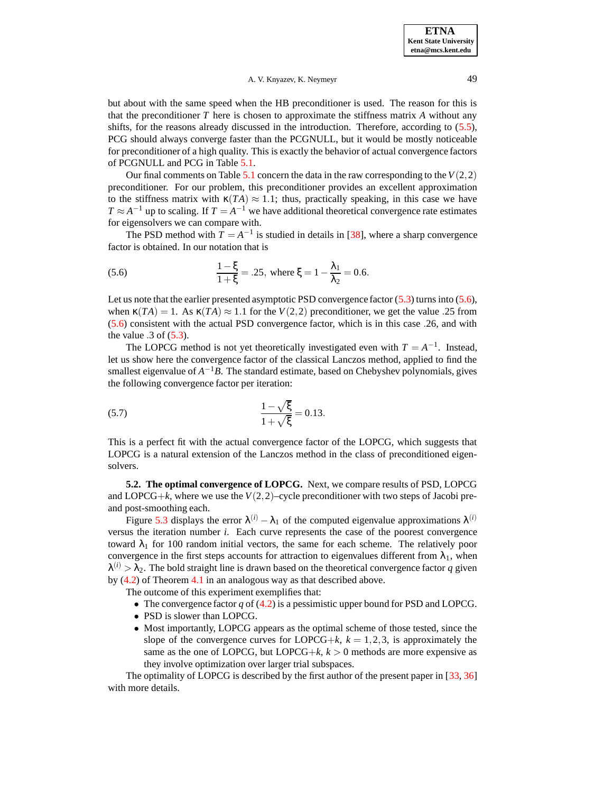but about with the same speed when the HB preconditioner is used. The reason for this is that the preconditioner  $T$  here is chosen to approximate the stiffness matrix  $A$  without any shifts, for the reasons already discussed in the introduction. Therefore, according to [\(5.5\)](#page-9-2), PCG should always converge faster than the PCGNULL, but it would be mostly noticeable for preconditioner of a high quality. This is exactly the behavior of actual convergence factors of PCGNULL and PCG in Table [5.1.](#page-8-1)

Our final comments on Table  $5.1$  concern the data in the raw corresponding to the  $V(2,2)$ preconditioner. For our problem, this preconditioner provides an excellent approximation to the stiffness matrix with  $\kappa(TA) \approx 1.1$ ; thus, practically speaking, in this case we have  $T \approx A^{-1}$  up to scaling. If  $T = A^{-1}$  we have additional theoretical convergence rate estimates for eigensolvers we can compare with.

The PSD method with  $T = A^{-1}$  is studied in details in [\[38](#page-16-18)], where a sharp convergence factor is obtained. In our notation that is

<span id="page-11-0"></span>(5.6) 
$$
\frac{1-\xi}{1+\xi} = .25, \text{ where } \xi = 1 - \frac{\lambda_1}{\lambda_2} = 0.6.
$$

Let us note that the earlier presented asymptotic PSD convergence factor [\(5.3\)](#page-8-0) turns into [\(5.6\)](#page-11-0), when  $\kappa(TA) = 1$ . As  $\kappa(TA) \approx 1.1$  for the  $V(2,2)$  preconditioner, we get the value .25 from [\(5.6\)](#page-11-0) consistent with the actual PSD convergence factor, which is in this case .26, and with the value  $.3$  of  $(5.3)$ .

The LOPCG method is not yet theoretically investigated even with  $T = A^{-1}$ . Instead, let us show here the convergence factor of the classical Lanczos method, applied to find the smallest eigenvalue of  $A^{-1}B$ . The standard estimate, based on Chebyshev polynomials, gives the following convergence factor per iteration:

(5.7) 
$$
\frac{1-\sqrt{\xi}}{1+\sqrt{\xi}} = 0.13.
$$

This is a perfect fit with the actual convergence factor of the LOPCG, which suggests that LOPCG is a natural extension of the Lanczos method in the class of preconditioned eigensolvers.

**5.2. The optimal convergence of LOPCG.** Next, we compare results of PSD, LOPCG and LOPCG+ $k$ , where we use the  $V(2,2)$ –cycle preconditioner with two steps of Jacobi preand post-smoothing each.

Figure [5.3](#page-12-0) displays the error  $\lambda^{(i)} - \lambda_1$  of the computed eigenvalue approximations  $\lambda^{(i)}$ versus the iteration number *i*. Each curve represents the case of the poorest convergence toward  $\lambda_1$  for 100 random initial vectors, the same for each scheme. The relatively poor convergence in the first steps accounts for attraction to eigenvalues different from  $\lambda_1$ , when  $\lambda^{(i)} > \lambda_2$ . The bold straight line is drawn based on the theoretical convergence factor q given by [\(4.2\)](#page-6-3) of Theorem [4.1](#page-6-2) in an analogous way as that described above.

The outcome of this experiment exemplifies that:

- The convergence factor *q* of [\(4.2\)](#page-6-3) is a pessimistic upper bound for PSD and LOPCG.
- PSD is slower than LOPCG.
- Most importantly, LOPCG appears as the optimal scheme of those tested, since the slope of the convergence curves for LOPCG+ $k$ ,  $k = 1,2,3$ , is approximately the same as the one of LOPCG, but LOPCG+ $k$ ,  $k > 0$  methods are more expensive as they involve optimization over larger trial subspaces.

The optimality of LOPCG is described by the first author of the present paper in [\[33,](#page-15-12) [36\]](#page-16-8) with more details.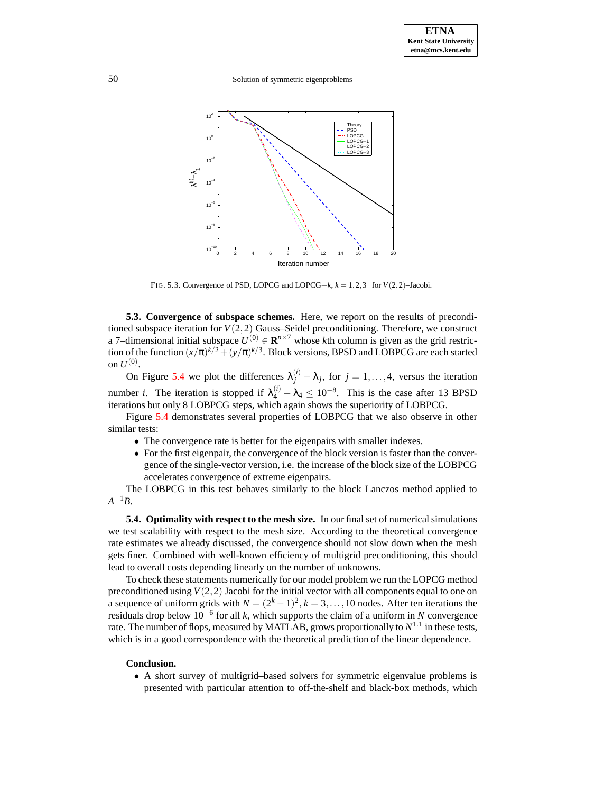50 Solution of symmetric eigenproblems



FIG. 5.3. Convergence of PSD, LOPCG and LOPCG+ $k$ ,  $k = 1, 2, 3$  for  $V(2, 2)$ –Jacobi.

<span id="page-12-0"></span>**5.3. Convergence of subspace schemes.** Here, we report on the results of preconditioned subspace iteration for  $V(2,2)$  Gauss–Seidel preconditioning. Therefore, we construct a 7–dimensional initial subspace  $U^{(0)} \in \mathbb{R}^{n \times 7}$  whose *k*th column is given as the grid restriction of the function  $(x/\pi)^{k/2} + (y/\pi)^{k/3}$ . Block versions, BPSD and LOBPCG are each started on  $U^{(0)}$ .

On Figure [5.4](#page-13-0) we plot the differences  $\lambda_j^{(i)} - \lambda_j$ , for  $j = 1, ..., 4$ , versus the iteration number *i*. The iteration is stopped if  $\lambda_4^{(i)} - \lambda_4 \le 10^{-8}$ . This is the case after 13 BPSD iterations but only 8 LOBPCG steps, which again shows the superiority of LOBPCG.

Figure [5.4](#page-13-0) demonstrates several properties of LOBPCG that we also observe in other similar tests:

- The convergence rate is better for the eigenpairs with smaller indexes.
- For the first eigenpair, the convergence of the block version is faster than the convergence of the single-vector version, i.e. the increase of the block size of the LOBPCG accelerates convergence of extreme eigenpairs.

The LOBPCG in this test behaves similarly to the block Lanczos method applied to  $A^{-1}B$ .

**5.4. Optimality with respect to the mesh size.** In our final set of numericalsimulations we test scalability with respect to the mesh size. According to the theoretical convergence rate estimates we already discussed, the convergence should not slow down when the mesh gets finer. Combined with well-known efficiency of multigrid preconditioning, this should lead to overall costs depending linearly on the number of unknowns.

To check these statements numerically for our model problem we run the LOPCG method preconditioned using  $V(2,2)$  Jacobi for the initial vector with all components equal to one on a sequence of uniform grids with  $N = (2<sup>k</sup> – 1)<sup>2</sup>$ ,  $k = 3,...,10$  nodes. After ten iterations the residuals drop below 10−<sup>6</sup> for all *k*, which supports the claim of a uniform in *N* convergence rate. The number of flops, measured by MATLAB, grows proportionally to  $N^{1.1}$  in these tests, which is in a good correspondence with the theoretical prediction of the linear dependence.

#### **Conclusion.**

• A short survey of multigrid–based solvers for symmetric eigenvalue problems is presented with particular attention to off-the-shelf and black-box methods, which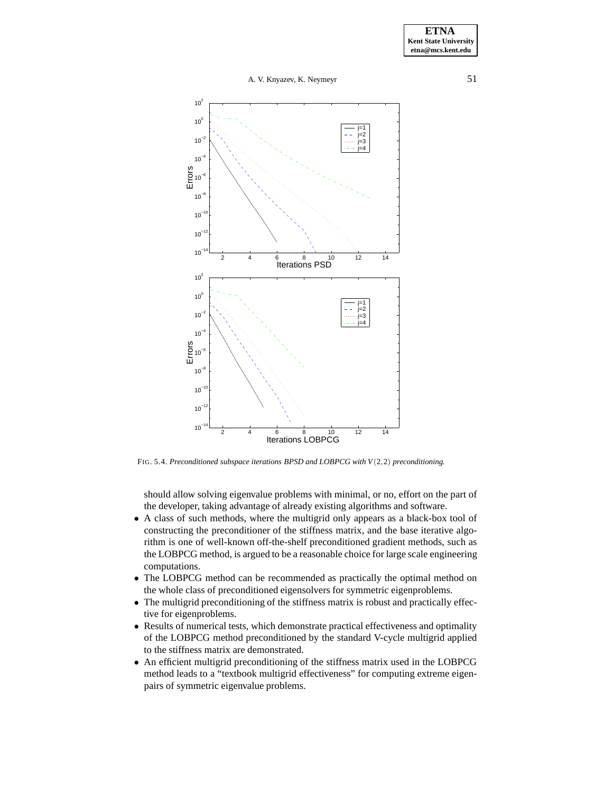

<span id="page-13-0"></span>FIG. 5.4. *Preconditioned subspace iterations BPSD and LOBPCG with V*(2,2) *preconditioning.*

should allow solving eigenvalue problems with minimal, or no, effort on the part of the developer, taking advantage of already existing algorithms and software.

- A class of such methods, where the multigrid only appears as a black-box tool of constructing the preconditioner of the stiffness matrix, and the base iterative algorithm is one of well-known off-the-shelf preconditioned gradient methods, such as the LOBPCG method, is argued to be a reasonable choice for large scale engineering computations.
- The LOBPCG method can be recommended as practically the optimal method on the whole class of preconditioned eigensolvers for symmetric eigenproblems.
- The multigrid preconditioning of the stiffness matrix is robust and practically effective for eigenproblems.
- Results of numerical tests, which demonstrate practical effectiveness and optimality of the LOBPCG method preconditioned by the standard V-cycle multigrid applied to the stiffness matrix are demonstrated.
- An efficient multigrid preconditioning of the stiffness matrix used in the LOBPCG method leads to a "textbook multigrid effectiveness" for computing extreme eigenpairs of symmetric eigenvalue problems.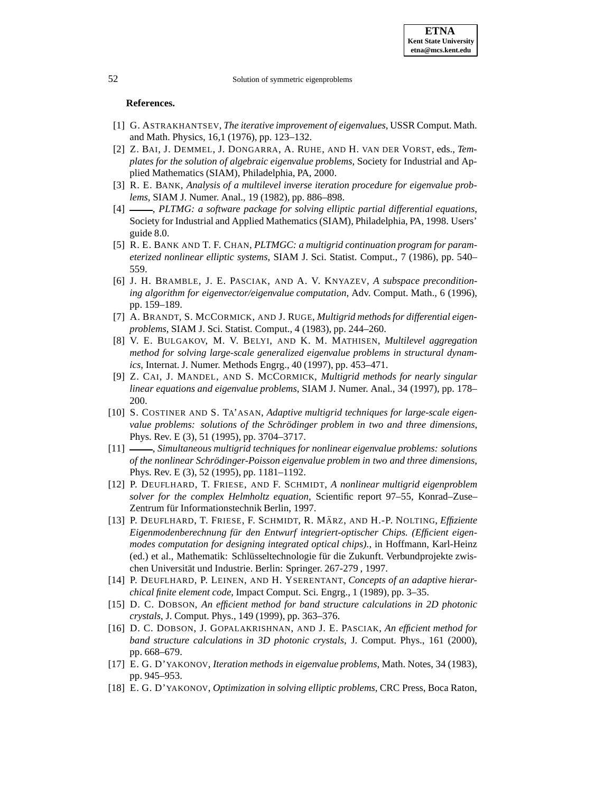## **References.**

- <span id="page-14-5"></span>[1] G. ASTRAKHANTSEV, *The iterative improvement of eigenvalues*, USSR Comput. Math. and Math. Physics, 16,1 (1976), pp. 123–132.
- <span id="page-14-12"></span>[2] Z. BAI, J. DEMMEL, J. DONGARRA, A. RUHE, AND H. VAN DER VORST, eds., *Templates for the solution of algebraic eigenvalue problems*, Society for Industrial and Applied Mathematics (SIAM), Philadelphia, PA, 2000.
- <span id="page-14-7"></span>[3] R. E. BANK, *Analysis of a multilevel inverse iteration procedure for eigenvalue problems*, SIAM J. Numer. Anal., 19 (1982), pp. 886–898.
- <span id="page-14-1"></span>[4] , *PLTMG: a software package for solving elliptic partial differential equations*, Society for Industrial and Applied Mathematics (SIAM), Philadelphia, PA, 1998. Users' guide 8.0.
- <span id="page-14-2"></span>[5] R. E. BANK AND T. F. CHAN, *PLTMGC: a multigrid continuation program for parameterized nonlinear elliptic systems*, SIAM J. Sci. Statist. Comput., 7 (1986), pp. 540– 559.
- <span id="page-14-17"></span>[6] J. H. BRAMBLE, J. E. PASCIAK, AND A. V. KNYAZEV, *A subspace preconditioning algorithm for eigenvector/eigenvalue computation*, Adv. Comput. Math., 6 (1996), pp. 159–189.
- <span id="page-14-0"></span>[7] A. BRANDT, S. MCCORMICK, AND J. RUGE, *Multigrid methods for differential eigenproblems*, SIAM J. Sci. Statist. Comput., 4 (1983), pp. 244–260.
- <span id="page-14-13"></span>[8] V. E. BULGAKOV, M. V. BELYI, AND K. M. MATHISEN, *Multilevel aggregation method for solving large-scale generalized eigenvalue problems in structural dynamics*, Internat. J. Numer. Methods Engrg., 40 (1997), pp. 453–471.
- <span id="page-14-6"></span>[9] Z. CAI, J. MANDEL, AND S. MCCORMICK, *Multigrid methods for nearly singular linear equations and eigenvalue problems*, SIAM J. Numer. Anal., 34 (1997), pp. 178– 200.
- <span id="page-14-3"></span>[10] S. COSTINER AND S. TA'ASAN, *Adaptive multigrid techniques for large-scale eigenvalue problems: solutions of the Schroding ¨ er problem in two and three dimensions*, Phys. Rev. E (3), 51 (1995), pp. 3704–3717.
- <span id="page-14-4"></span>[11] , *Simultaneous multigrid techniques for nonlinear eigenvalue problems: solutions of the nonlinear Schroding ¨ er-Poisson eigenvalue problem in two and three dimensions*, Phys. Rev. E (3), 52 (1995), pp. 1181–1192.
- <span id="page-14-8"></span>[12] P. DEUFLHARD, T. FRIESE, AND F. SCHMIDT, *A nonlinear multigrid eigenproblem solver for the complex Helmholtz equation*, Scientific report 97–55, Konrad–Zuse– Zentrum für Informationstechnik Berlin, 1997.
- <span id="page-14-9"></span>[13] P. DEUFLHARD, T. FRIESE, F. SCHMIDT, R. MA¨ RZ, AND H.-P. NOLTING, *Effiziente Eigenmodenberechnung fur¨ den Entwurf integriert-optischer Chips. (Efficient eigenmodes computation for designing integrated optical chips).*, in Hoffmann, Karl-Heinz (ed.) et al., Mathematik: Schlüsseltechnologie für die Zukunft. Verbundprojekte zwischen Universität und Industrie. Berlin: Springer. 267-279, 1997.
- <span id="page-14-16"></span>[14] P. DEUFLHARD, P. LEINEN, AND H. YSERENTANT, *Concepts of an adaptive hierarchical finite element code*, Impact Comput. Sci. Engrg., 1 (1989), pp. 3–35.
- <span id="page-14-14"></span>[15] D. C. DOBSON, *An efficient method for band structure calculations in 2D photonic crystals*, J. Comput. Phys., 149 (1999), pp. 363–376.
- <span id="page-14-15"></span>[16] D. C. DOBSON, J. GOPALAKRISHNAN, AND J. E. PASCIAK, *An efficient method for band structure calculations in 3D photonic crystals*, J. Comput. Phys., 161 (2000), pp. 668–679.
- <span id="page-14-10"></span>[17] E. G. D'YAKONOV, *Iteration methods in eigenvalue problems*, Math. Notes, 34 (1983), pp. 945–953.
- <span id="page-14-11"></span>[18] E. G. D'YAKONOV, *Optimization in solving elliptic problems*, CRC Press, Boca Raton,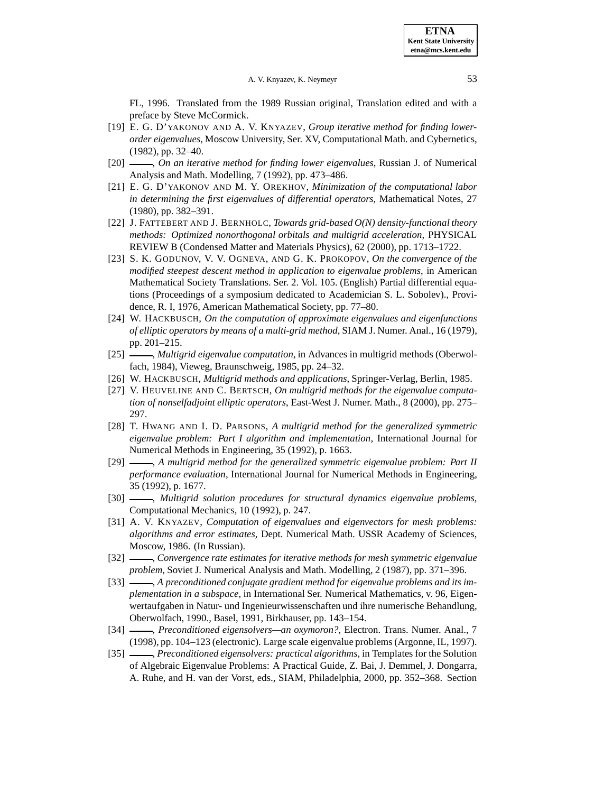FL, 1996. Translated from the 1989 Russian original, Translation edited and with a preface by Steve McCormick.

- <span id="page-15-14"></span>[19] E. G. D'YAKONOV AND A. V. KNYAZEV, *Group iterative method for finding lowerorder eigenvalues*, Moscow University, Ser. XV, Computational Math. and Cybernetics, (1982), pp. 32–40.
- <span id="page-15-15"></span>[20] , *On an iterative method for finding lower eigenvalues*, Russian J. of Numerical Analysis and Math. Modelling, 7 (1992), pp. 473–486.
- <span id="page-15-7"></span>[21] E. G. D'YAKONOV AND M. Y. OREKHOV, *Minimization of the computational labor in determining the first eigenvalues of differential operators*, Mathematical Notes, 27 (1980), pp. 382–391.
- <span id="page-15-13"></span>[22] J. FATTEBERT AND J. BERNHOLC, *Towards grid-based O(N) density-functional theory methods: Optimized nonorthogonal orbitals and multigrid acceleration*, PHYSICAL REVIEW B (Condensed Matter and Materials Physics), 62 (2000), pp. 1713–1722.
- <span id="page-15-8"></span>[23] S. K. GODUNOV, V. V. OGNEVA, AND G. K. PROKOPOV, *On the convergence of the modified steepest descent method in application to eigenvalue problems*, in American Mathematical Society Translations. Ser. 2. Vol. 105. (English) Partial differential equations (Proceedings of a symposium dedicated to Academician S. L. Sobolev)., Providence, R. I, 1976, American Mathematical Society, pp. 77–80.
- <span id="page-15-0"></span>[24] W. HACKBUSCH, *On the computation of approximate eigenvalues and eigenfunctions of elliptic operators by means of a multi-grid method*, SIAM J. Numer. Anal., 16 (1979), pp. 201–215.
- <span id="page-15-1"></span>[25] , *Multigrid eigenvalue computation*, in Advances in multigrid methods (Oberwolfach, 1984), Vieweg, Braunschweig, 1985, pp. 24–32.
- <span id="page-15-2"></span>[26] W. HACKBUSCH, *Multigrid methods and applications*, Springer-Verlag, Berlin, 1985.
- <span id="page-15-3"></span>[27] V. HEUVELINE AND C. BERTSCH, *On multigrid methods for the eigenvalue computation of nonselfadjoint elliptic operators*, East-West J. Numer. Math., 8 (2000), pp. 275– 297.
- <span id="page-15-4"></span>[28] T. HWANG AND I. D. PARSONS, *A multigrid method for the generalized symmetric eigenvalue problem: Part I algorithm and implementation*, International Journal for Numerical Methods in Engineering, 35 (1992), p. 1663.
- <span id="page-15-5"></span>[29] , *A multigrid method for the generalized symmetric eigenvalue problem: Part II performance evaluation*, International Journal for Numerical Methods in Engineering, 35 (1992), p. 1677.
- <span id="page-15-6"></span>[30] , *Multigrid solution procedures for structural dynamics eigenvalue problems*, Computational Mechanics, 10 (1992), p. 247.
- <span id="page-15-16"></span>[31] A. V. KNYAZEV, *Computation of eigenvalues and eigenvectors for mesh problems: algorithms and error estimates*, Dept. Numerical Math. USSR Academy of Sciences, Moscow, 1986. (In Russian).
- <span id="page-15-9"></span>[32] , *Convergence rate estimates for iterative methods for mesh symmetric eigenvalue problem*, Soviet J. Numerical Analysis and Math. Modelling, 2 (1987), pp. 371–396.
- <span id="page-15-12"></span>[33] , *A preconditioned conjugate gradient method for eigenvalue problems and its implementation in a subspace*, in International Ser. Numerical Mathematics, v. 96, Eigenwertaufgaben in Natur- und Ingenieurwissenschaften und ihre numerische Behandlung, Oberwolfach, 1990., Basel, 1991, Birkhauser, pp. 143–154.
- <span id="page-15-10"></span>[34] , *Preconditioned eigensolvers—an oxymoron?*, Electron. Trans. Numer. Anal., 7 (1998), pp. 104–123 (electronic). Large scale eigenvalue problems (Argonne, IL, 1997).
- <span id="page-15-11"></span>[35] , *Preconditioned eigensolvers: practical algorithms*, in Templates for the Solution of Algebraic Eigenvalue Problems: A Practical Guide, Z. Bai, J. Demmel, J. Dongarra, A. Ruhe, and H. van der Vorst, eds., SIAM, Philadelphia, 2000, pp. 352–368. Section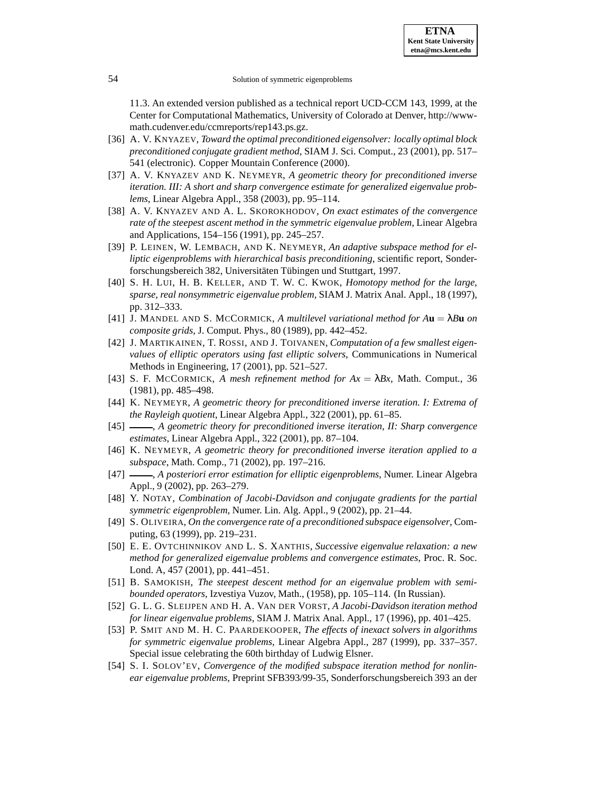11.3. An extended version published as a technical report UCD-CCM 143, 1999, at the Center for Computational Mathematics, University of Colorado at Denver, http://wwwmath.cudenver.edu/ccmreports/rep143.ps.gz.

- <span id="page-16-8"></span>[36] A. V. KNYAZEV, *Toward the optimal preconditioned eigensolver: locally optimal block preconditioned conjugate gradient method*, SIAM J. Sci. Comput., 23 (2001), pp. 517– 541 (electronic). Copper Mountain Conference (2000).
- <span id="page-16-13"></span>[37] A. V. KNYAZEV AND K. NEYMEYR, *A geometric theory for preconditioned inverse iteration. III: A short and sharp convergence estimate for generalized eigenvalue problems*, Linear Algebra Appl., 358 (2003), pp. 95–114.
- <span id="page-16-18"></span>[38] A. V. KNYAZEV AND A. L. SKOROKHODOV, *On exact estimates of the convergence rate of the steepest ascent method in the symmetric eigenvalue problem*, Linear Algebra and Applications, 154–156 (1991), pp. 245–257.
- <span id="page-16-16"></span>[39] P. LEINEN, W. LEMBACH, AND K. NEYMEYR, *An adaptive subspace method for elliptic eigenproblems with hierarchical basis preconditioning*, scientific report, Sonderforschungsbereich 382, Universitäten Tübingen und Stuttgart, 1997.
- <span id="page-16-1"></span>[40] S. H. LUI, H. B. KELLER, AND T. W. C. KWOK, *Homotopy method for the large, sparse, real nonsymmetric eigenvalue problem*, SIAM J. Matrix Anal. Appl., 18 (1997), pp. 312–333.
- <span id="page-16-6"></span>[41] J. MANDEL AND S. MCCORMICK, *A multilevel variational method for A***u** = λ*B***u** *on composite grids*, J. Comput. Phys., 80 (1989), pp. 442–452.
- <span id="page-16-4"></span>[42] J. MARTIKAINEN, T. ROSSI, AND J. TOIVANEN, *Computation of a few smallest eigenvalues of elliptic operators using fast elliptic solvers*, Communications in Numerical Methods in Engineering, 17 (2001), pp. 521–527.
- <span id="page-16-0"></span>[43] S. F. MCCORMICK, *A mesh refinement method for*  $Ax = \lambda Bx$ , Math. Comput., 36 (1981), pp. 485–498.
- <span id="page-16-10"></span>[44] K. NEYMEYR, *A geometric theory for preconditioned inverse iteration. I: Extrema of the Rayleigh quotient*, Linear Algebra Appl., 322 (2001), pp. 61–85.
- <span id="page-16-11"></span>[45] , *A geometric theory for preconditioned inverse iteration, II: Sharp convergence estimates*, Linear Algebra Appl., 322 (2001), pp. 87–104.
- <span id="page-16-12"></span>[46] K. NEYMEYR, *A geometric theory for preconditioned inverse iteration applied to a subspace*, Math. Comp., 71 (2002), pp. 197–216.
- <span id="page-16-15"></span>[47] , *A posteriori error estimation for elliptic eigenproblems*, Numer. Linear Algebra Appl., 9 (2002), pp. 263–279.
- <span id="page-16-2"></span>[48] Y. NOTAY, *Combination of Jacobi-Davidson and conjugate gradients for the partial symmetric eigenproblem*, Numer. Lin. Alg. Appl., 9 (2002), pp. 21–44.
- <span id="page-16-9"></span>[49] S. OLIVEIRA, *On the convergence rate of a preconditioned subspace eigensolver*, Computing, 63 (1999), pp. 219–231.
- <span id="page-16-17"></span>[50] E. E. OVTCHINNIKOV AND L. S. XANTHIS, *Successive eigenvalue relaxation: a new method for generalized eigenvalue problems and convergence estimates*, Proc. R. Soc. Lond. A, 457 (2001), pp. 441–451.
- <span id="page-16-7"></span>[51] B. SAMOKISH, *The steepest descent method for an eigenvalue problem with semibounded operators*, Izvestiya Vuzov, Math., (1958), pp. 105–114. (In Russian).
- <span id="page-16-3"></span>[52] G. L. G. SLEIJPEN AND H. A. VAN DER VORST, *A Jacobi-Davidson iteration method for linear eigenvalue problems*, SIAM J. Matrix Anal. Appl., 17 (1996), pp. 401–425.
- <span id="page-16-5"></span>[53] P. SMIT AND M. H. C. PAARDEKOOPER, *The effects of inexact solvers in algorithms for symmetric eigenvalue problems*, Linear Algebra Appl., 287 (1999), pp. 337–357. Special issue celebrating the 60th birthday of Ludwig Elsner.
- <span id="page-16-14"></span>[54] S. I. SOLOV'EV, *Convergence of the modified subspace iteration method for nonlinear eigenvalue problems*, Preprint SFB393/99-35, Sonderforschungsbereich 393 an der